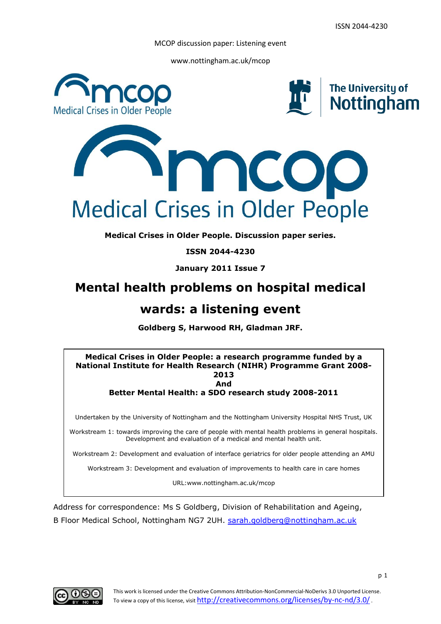www.nottingham.ac.uk/mcop







**Medical Crises in Older People. Discussion paper series.**

**ISSN 2044-4230**

**January 2011 Issue 7**

## **Mental health problems on hospital medical**

# **wards: a listening event**

**Goldberg S, Harwood RH, Gladman JRF.**



Address for correspondence: Ms S Goldberg, Division of Rehabilitation and Ageing, B Floor Medical School, Nottingham NG7 2UH. [sarah.goldberg@nottingham.ac.uk](mailto:sarah.goldberg@nottingham.ac.uk)

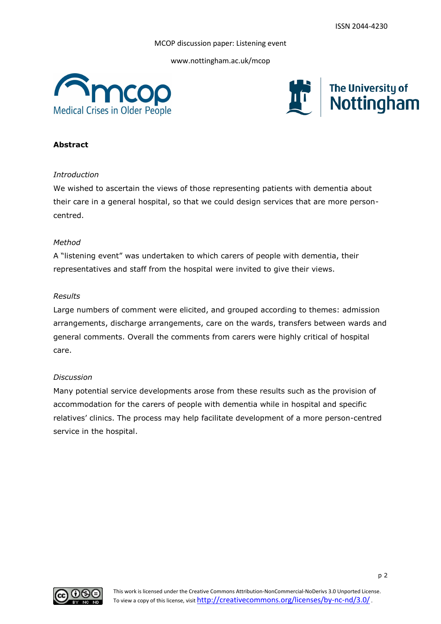www.nottingham.ac.uk/mcop





## **Abstract**

## *Introduction*

We wished to ascertain the views of those representing patients with dementia about their care in a general hospital, so that we could design services that are more personcentred.

#### *Method*

A "listening event" was undertaken to which carers of people with dementia, their representatives and staff from the hospital were invited to give their views.

#### *Results*

Large numbers of comment were elicited, and grouped according to themes: admission arrangements, discharge arrangements, care on the wards, transfers between wards and general comments. Overall the comments from carers were highly critical of hospital care.

#### *Discussion*

Many potential service developments arose from these results such as the provision of accommodation for the carers of people with dementia while in hospital and specific relatives" clinics. The process may help facilitate development of a more person-centred service in the hospital.

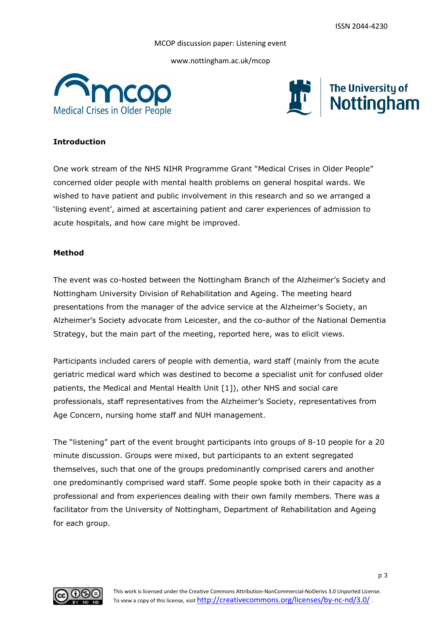www.nottingham.ac.uk/mcop





## **Introduction**

One work stream of the NHS NIHR Programme Grant "Medical Crises in Older People" concerned older people with mental health problems on general hospital wards. We wished to have patient and public involvement in this research and so we arranged a "listening event", aimed at ascertaining patient and carer experiences of admission to acute hospitals, and how care might be improved.

## **Method**

The event was co-hosted between the Nottingham Branch of the Alzheimer"s Society and Nottingham University Division of Rehabilitation and Ageing. The meeting heard presentations from the manager of the advice service at the Alzheimer"s Society, an Alzheimer"s Society advocate from Leicester, and the co-author of the National Dementia Strategy, but the main part of the meeting, reported here, was to elicit views.

Participants included carers of people with dementia, ward staff (mainly from the acute geriatric medical ward which was destined to become a specialist unit for confused older patients, the Medical and Mental Health Unit [1]), other NHS and social care professionals, staff representatives from the Alzheimer"s Society, representatives from Age Concern, nursing home staff and NUH management.

The "listening" part of the event brought participants into groups of 8-10 people for a 20 minute discussion. Groups were mixed, but participants to an extent segregated themselves, such that one of the groups predominantly comprised carers and another one predominantly comprised ward staff. Some people spoke both in their capacity as a professional and from experiences dealing with their own family members. There was a facilitator from the University of Nottingham, Department of Rehabilitation and Ageing for each group.

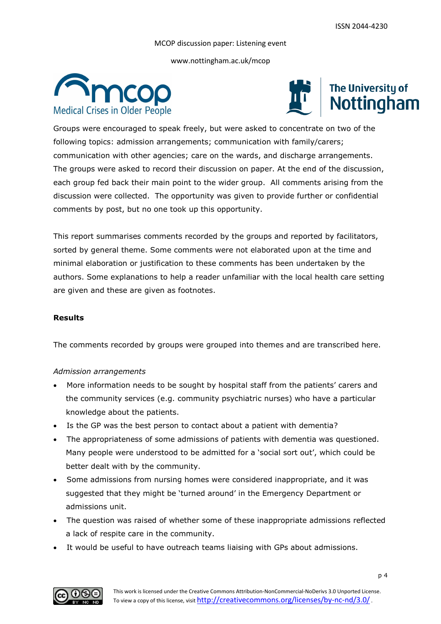www.nottingham.ac.uk/mcop





Groups were encouraged to speak freely, but were asked to concentrate on two of the following topics: admission arrangements; communication with family/carers; communication with other agencies; care on the wards, and discharge arrangements. The groups were asked to record their discussion on paper. At the end of the discussion, each group fed back their main point to the wider group. All comments arising from the discussion were collected. The opportunity was given to provide further or confidential comments by post, but no one took up this opportunity.

This report summarises comments recorded by the groups and reported by facilitators, sorted by general theme. Some comments were not elaborated upon at the time and minimal elaboration or justification to these comments has been undertaken by the authors. Some explanations to help a reader unfamiliar with the local health care setting are given and these are given as footnotes.

## **Results**

The comments recorded by groups were grouped into themes and are transcribed here.

## *Admission arrangements*

- More information needs to be sought by hospital staff from the patients' carers and the community services (e.g. community psychiatric nurses) who have a particular knowledge about the patients.
- Is the GP was the best person to contact about a patient with dementia?
- The appropriateness of some admissions of patients with dementia was questioned. Many people were understood to be admitted for a 'social sort out', which could be better dealt with by the community.
- Some admissions from nursing homes were considered inappropriate, and it was suggested that they might be "turned around" in the Emergency Department or admissions unit.
- The question was raised of whether some of these inappropriate admissions reflected a lack of respite care in the community.
- It would be useful to have outreach teams liaising with GPs about admissions.

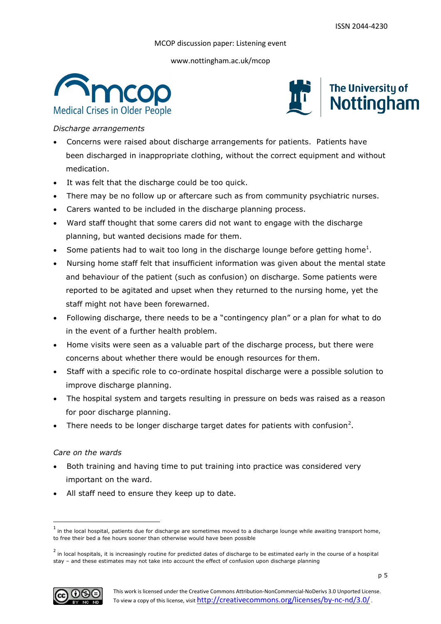www.nottingham.ac.uk/mcop





*Discharge arrangements*

- Concerns were raised about discharge arrangements for patients. Patients have been discharged in inappropriate clothing, without the correct equipment and without medication.
- It was felt that the discharge could be too quick.
- There may be no follow up or aftercare such as from community psychiatric nurses.
- Carers wanted to be included in the discharge planning process.
- Ward staff thought that some carers did not want to engage with the discharge planning, but wanted decisions made for them.
- Some patients had to wait too long in the discharge lounge before getting home<sup>1</sup>.
- Nursing home staff felt that insufficient information was given about the mental state and behaviour of the patient (such as confusion) on discharge. Some patients were reported to be agitated and upset when they returned to the nursing home, yet the staff might not have been forewarned.
- Following discharge, there needs to be a "contingency plan" or a plan for what to do in the event of a further health problem.
- Home visits were seen as a valuable part of the discharge process, but there were concerns about whether there would be enough resources for them.
- Staff with a specific role to co-ordinate hospital discharge were a possible solution to improve discharge planning.
- The hospital system and targets resulting in pressure on beds was raised as a reason for poor discharge planning.
- There needs to be longer discharge target dates for patients with confusion<sup>2</sup>.

## *Care on the wards*

- Both training and having time to put training into practice was considered very important on the ward.
- All staff need to ensure they keep up to date.

<sup>&</sup>lt;sup>2</sup> in local hospitals, it is increasingly routine for predicted dates of discharge to be estimated early in the course of a hospital stay – and these estimates may not take into account the effect of confusion upon discharge planning



**.** 

 $^{\rm 1}$  in the local hospital, patients due for discharge are sometimes moved to a discharge lounge while awaiting transport home, to free their bed a fee hours sooner than otherwise would have been possible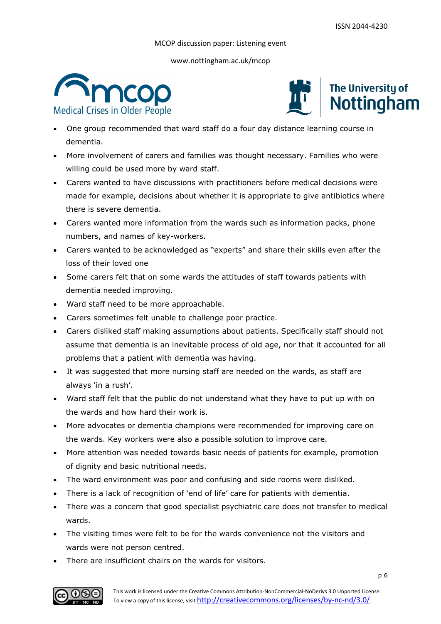www.nottingham.ac.uk/mcop





- One group recommended that ward staff do a four day distance learning course in dementia.
- More involvement of carers and families was thought necessary. Families who were willing could be used more by ward staff.
- Carers wanted to have discussions with practitioners before medical decisions were made for example, decisions about whether it is appropriate to give antibiotics where there is severe dementia.
- Carers wanted more information from the wards such as information packs, phone numbers, and names of key-workers.
- Carers wanted to be acknowledged as "experts" and share their skills even after the loss of their loved one
- Some carers felt that on some wards the attitudes of staff towards patients with dementia needed improving.
- Ward staff need to be more approachable.
- Carers sometimes felt unable to challenge poor practice.
- Carers disliked staff making assumptions about patients. Specifically staff should not assume that dementia is an inevitable process of old age, nor that it accounted for all problems that a patient with dementia was having.
- It was suggested that more nursing staff are needed on the wards, as staff are always 'in a rush'.
- Ward staff felt that the public do not understand what they have to put up with on the wards and how hard their work is.
- More advocates or dementia champions were recommended for improving care on the wards. Key workers were also a possible solution to improve care.
- More attention was needed towards basic needs of patients for example, promotion of dignity and basic nutritional needs.
- The ward environment was poor and confusing and side rooms were disliked.
- There is a lack of recognition of 'end of life' care for patients with dementia.
- There was a concern that good specialist psychiatric care does not transfer to medical wards.
- The visiting times were felt to be for the wards convenience not the visitors and wards were not person centred.
- There are insufficient chairs on the wards for visitors.

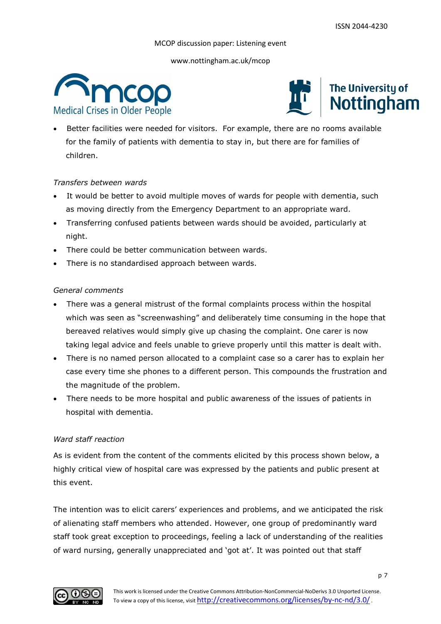www.nottingham.ac.uk/mcop





 Better facilities were needed for visitors. For example, there are no rooms available for the family of patients with dementia to stay in, but there are for families of children.

## *Transfers between wards*

- It would be better to avoid multiple moves of wards for people with dementia, such as moving directly from the Emergency Department to an appropriate ward.
- Transferring confused patients between wards should be avoided, particularly at night.
- There could be better communication between wards.
- There is no standardised approach between wards.

#### *General comments*

- There was a general mistrust of the formal complaints process within the hospital which was seen as "screenwashing" and deliberately time consuming in the hope that bereaved relatives would simply give up chasing the complaint. One carer is now taking legal advice and feels unable to grieve properly until this matter is dealt with.
- There is no named person allocated to a complaint case so a carer has to explain her case every time she phones to a different person. This compounds the frustration and the magnitude of the problem.
- There needs to be more hospital and public awareness of the issues of patients in hospital with dementia.

#### *Ward staff reaction*

As is evident from the content of the comments elicited by this process shown below, a highly critical view of hospital care was expressed by the patients and public present at this event.

The intention was to elicit carers' experiences and problems, and we anticipated the risk of alienating staff members who attended. However, one group of predominantly ward staff took great exception to proceedings, feeling a lack of understanding of the realities of ward nursing, generally unappreciated and 'got at'. It was pointed out that staff

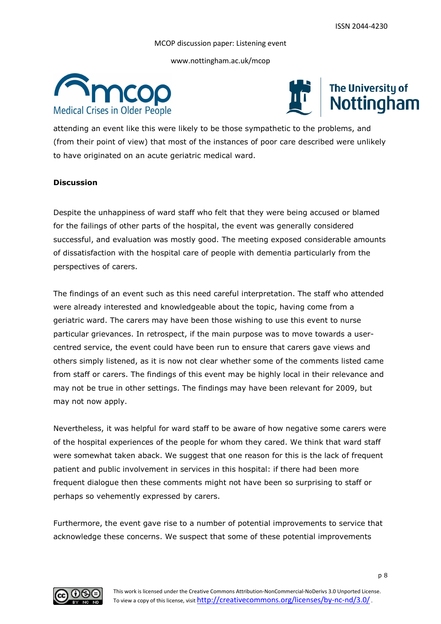www.nottingham.ac.uk/mcop





attending an event like this were likely to be those sympathetic to the problems, and (from their point of view) that most of the instances of poor care described were unlikely to have originated on an acute geriatric medical ward.

## **Discussion**

Despite the unhappiness of ward staff who felt that they were being accused or blamed for the failings of other parts of the hospital, the event was generally considered successful, and evaluation was mostly good. The meeting exposed considerable amounts of dissatisfaction with the hospital care of people with dementia particularly from the perspectives of carers.

The findings of an event such as this need careful interpretation. The staff who attended were already interested and knowledgeable about the topic, having come from a geriatric ward. The carers may have been those wishing to use this event to nurse particular grievances. In retrospect, if the main purpose was to move towards a usercentred service, the event could have been run to ensure that carers gave views and others simply listened, as it is now not clear whether some of the comments listed came from staff or carers. The findings of this event may be highly local in their relevance and may not be true in other settings. The findings may have been relevant for 2009, but may not now apply.

Nevertheless, it was helpful for ward staff to be aware of how negative some carers were of the hospital experiences of the people for whom they cared. We think that ward staff were somewhat taken aback. We suggest that one reason for this is the lack of frequent patient and public involvement in services in this hospital: if there had been more frequent dialogue then these comments might not have been so surprising to staff or perhaps so vehemently expressed by carers.

Furthermore, the event gave rise to a number of potential improvements to service that acknowledge these concerns. We suspect that some of these potential improvements

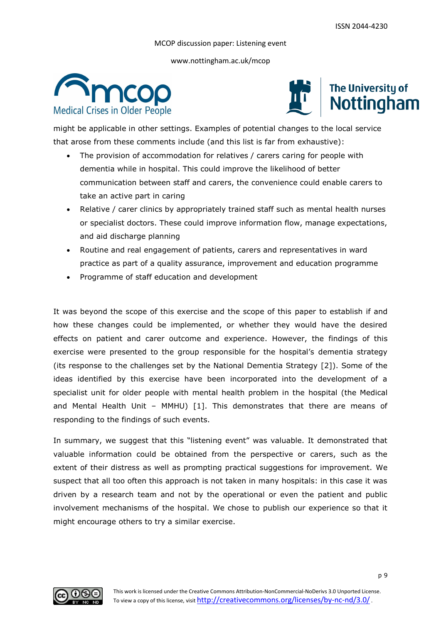www.nottingham.ac.uk/mcop





might be applicable in other settings. Examples of potential changes to the local service that arose from these comments include (and this list is far from exhaustive):

- The provision of accommodation for relatives / carers caring for people with dementia while in hospital. This could improve the likelihood of better communication between staff and carers, the convenience could enable carers to take an active part in caring
- Relative / carer clinics by appropriately trained staff such as mental health nurses or specialist doctors. These could improve information flow, manage expectations, and aid discharge planning
- Routine and real engagement of patients, carers and representatives in ward practice as part of a quality assurance, improvement and education programme
- Programme of staff education and development

It was beyond the scope of this exercise and the scope of this paper to establish if and how these changes could be implemented, or whether they would have the desired effects on patient and carer outcome and experience. However, the findings of this exercise were presented to the group responsible for the hospital's dementia strategy (its response to the challenges set by the National Dementia Strategy [2]). Some of the ideas identified by this exercise have been incorporated into the development of a specialist unit for older people with mental health problem in the hospital (the Medical and Mental Health Unit – MMHU) [1]. This demonstrates that there are means of responding to the findings of such events.

In summary, we suggest that this "listening event" was valuable. It demonstrated that valuable information could be obtained from the perspective or carers, such as the extent of their distress as well as prompting practical suggestions for improvement. We suspect that all too often this approach is not taken in many hospitals: in this case it was driven by a research team and not by the operational or even the patient and public involvement mechanisms of the hospital. We chose to publish our experience so that it might encourage others to try a similar exercise.